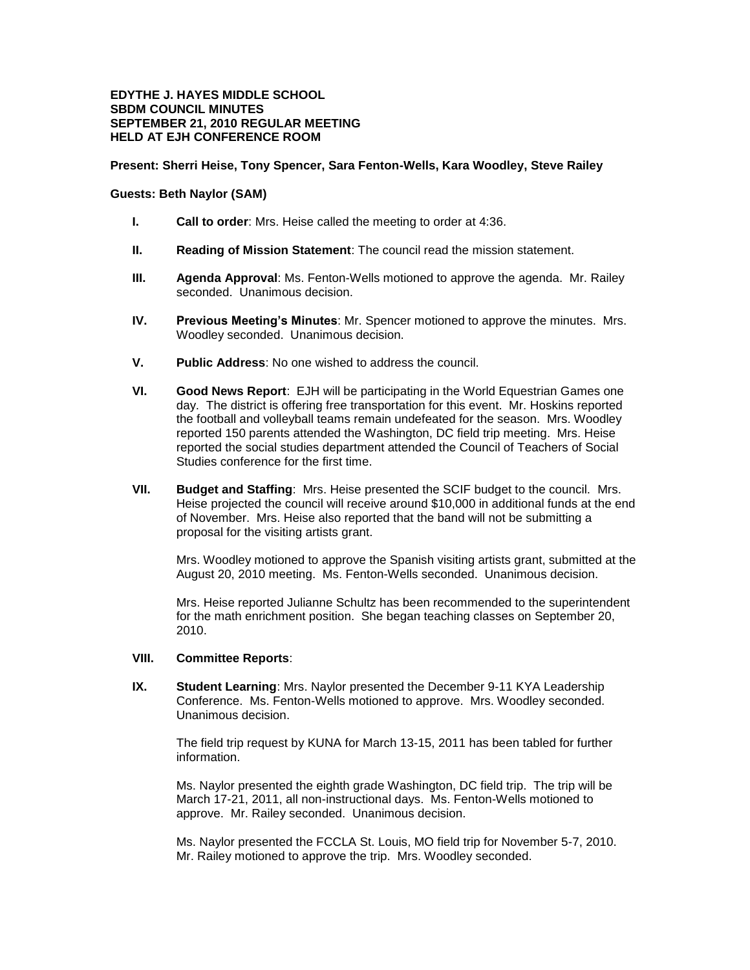## **EDYTHE J. HAYES MIDDLE SCHOOL SBDM COUNCIL MINUTES SEPTEMBER 21, 2010 REGULAR MEETING HELD AT EJH CONFERENCE ROOM**

## **Present: Sherri Heise, Tony Spencer, Sara Fenton-Wells, Kara Woodley, Steve Railey**

## **Guests: Beth Naylor (SAM)**

- **I. Call to order**: Mrs. Heise called the meeting to order at 4:36.
- **II. Reading of Mission Statement**: The council read the mission statement.
- **III. Agenda Approval**: Ms. Fenton-Wells motioned to approve the agenda. Mr. Railey seconded. Unanimous decision.
- **IV. Previous Meeting's Minutes**: Mr. Spencer motioned to approve the minutes. Mrs. Woodley seconded. Unanimous decision.
- **V. Public Address**: No one wished to address the council.
- **VI. Good News Report**: EJH will be participating in the World Equestrian Games one day. The district is offering free transportation for this event. Mr. Hoskins reported the football and volleyball teams remain undefeated for the season. Mrs. Woodley reported 150 parents attended the Washington, DC field trip meeting. Mrs. Heise reported the social studies department attended the Council of Teachers of Social Studies conference for the first time.
- **VII. Budget and Staffing**: Mrs. Heise presented the SCIF budget to the council. Mrs. Heise projected the council will receive around \$10,000 in additional funds at the end of November. Mrs. Heise also reported that the band will not be submitting a proposal for the visiting artists grant.

Mrs. Woodley motioned to approve the Spanish visiting artists grant, submitted at the August 20, 2010 meeting. Ms. Fenton-Wells seconded. Unanimous decision.

Mrs. Heise reported Julianne Schultz has been recommended to the superintendent for the math enrichment position. She began teaching classes on September 20, 2010.

## **VIII. Committee Reports**:

**IX. Student Learning**: Mrs. Naylor presented the December 9-11 KYA Leadership Conference. Ms. Fenton-Wells motioned to approve. Mrs. Woodley seconded. Unanimous decision.

The field trip request by KUNA for March 13-15, 2011 has been tabled for further information.

Ms. Naylor presented the eighth grade Washington, DC field trip. The trip will be March 17-21, 2011, all non-instructional days. Ms. Fenton-Wells motioned to approve. Mr. Railey seconded. Unanimous decision.

Ms. Naylor presented the FCCLA St. Louis, MO field trip for November 5-7, 2010. Mr. Railey motioned to approve the trip. Mrs. Woodley seconded.